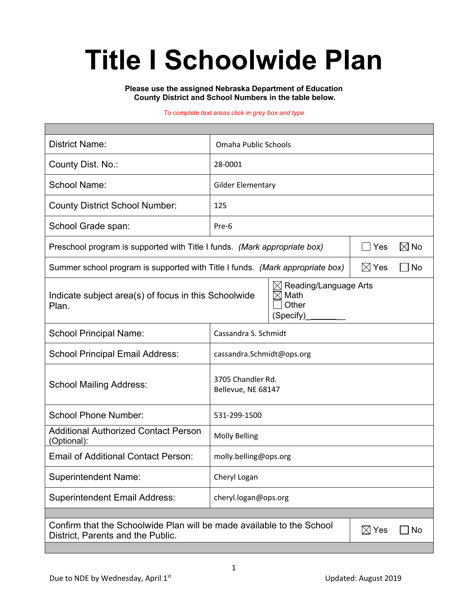# **Title I Schoolwide Plan**

**Please use the assigned Nebraska Department of Education County District and School Numbers in the table below.**

#### *To complete text areas click in grey box and type*

| <b>District Name:</b>                                                                                                               | Omaha Public Schools                    |  |  |  |  |  |
|-------------------------------------------------------------------------------------------------------------------------------------|-----------------------------------------|--|--|--|--|--|
| County Dist. No.:                                                                                                                   | 28-0001                                 |  |  |  |  |  |
| <b>School Name:</b>                                                                                                                 | <b>Gilder Elementary</b>                |  |  |  |  |  |
| <b>County District School Number:</b>                                                                                               | 125                                     |  |  |  |  |  |
| School Grade span:                                                                                                                  | Pre-6                                   |  |  |  |  |  |
| Preschool program is supported with Title I funds. (Mark appropriate box)<br>Yes                                                    |                                         |  |  |  |  |  |
| $\boxtimes$ Yes<br>Summer school program is supported with Title I funds. (Mark appropriate box)<br>No                              |                                         |  |  |  |  |  |
| Reading/Language Arts<br>⋉<br>Math<br>Indicate subject area(s) of focus in this Schoolwide<br>IX<br>Other<br>Plan.<br>(Specify)     |                                         |  |  |  |  |  |
| <b>School Principal Name:</b>                                                                                                       | Cassandra S. Schmidt                    |  |  |  |  |  |
| <b>School Principal Email Address:</b>                                                                                              | cassandra.Schmidt@ops.org               |  |  |  |  |  |
| <b>School Mailing Address:</b>                                                                                                      | 3705 Chandler Rd.<br>Bellevue, NE 68147 |  |  |  |  |  |
| <b>School Phone Number:</b>                                                                                                         | 531-299-1500                            |  |  |  |  |  |
| <b>Additional Authorized Contact Person</b><br>(Optional):                                                                          | <b>Molly Belling</b>                    |  |  |  |  |  |
| <b>Email of Additional Contact Person:</b>                                                                                          | molly.belling@ops.org                   |  |  |  |  |  |
| <b>Superintendent Name:</b>                                                                                                         | Cheryl Logan                            |  |  |  |  |  |
| <b>Superintendent Email Address:</b>                                                                                                | cheryl.logan@ops.org                    |  |  |  |  |  |
|                                                                                                                                     |                                         |  |  |  |  |  |
| Confirm that the Schoolwide Plan will be made available to the School<br>$\boxtimes$ Yes<br>No<br>District, Parents and the Public. |                                         |  |  |  |  |  |
|                                                                                                                                     |                                         |  |  |  |  |  |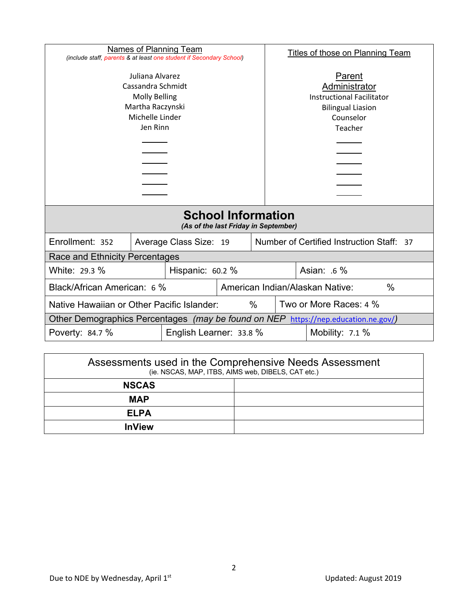| Names of Planning Team                                                                                                                                                                 |  |                        |                                                                                                                 | Titles of those on Planning Team |                                               |  |  |
|----------------------------------------------------------------------------------------------------------------------------------------------------------------------------------------|--|------------------------|-----------------------------------------------------------------------------------------------------------------|----------------------------------|-----------------------------------------------|--|--|
| (include staff, parents & at least one student if Secondary School)<br>Juliana Alvarez<br>Cassandra Schmidt<br><b>Molly Belling</b><br>Martha Raczynski<br>Michelle Linder<br>Jen Rinn |  |                        | Parent<br>Administrator<br><b>Instructional Facilitator</b><br><b>Bilingual Liasion</b><br>Counselor<br>Teacher |                                  |                                               |  |  |
|                                                                                                                                                                                        |  |                        |                                                                                                                 |                                  |                                               |  |  |
| <b>School Information</b><br>(As of the last Friday in September)                                                                                                                      |  |                        |                                                                                                                 |                                  |                                               |  |  |
| Enrollment: 352                                                                                                                                                                        |  | Average Class Size: 19 |                                                                                                                 |                                  | Number of Certified Instruction Staff:<br>-37 |  |  |
| Race and Ethnicity Percentages                                                                                                                                                         |  |                        |                                                                                                                 |                                  |                                               |  |  |
| White: 29.3 %<br>Hispanic: 60.2 %                                                                                                                                                      |  |                        |                                                                                                                 | Asian: .6 %                      |                                               |  |  |
| Black/African American: 6 %                                                                                                                                                            |  |                        | American Indian/Alaskan Native:<br>$\%$                                                                         |                                  |                                               |  |  |
| Native Hawaiian or Other Pacific Islander:<br>$\%$                                                                                                                                     |  |                        | Two or More Races: 4 %                                                                                          |                                  |                                               |  |  |
| Other Demographics Percentages (may be found on NEP<br>https://nep.education.ne.gov/)                                                                                                  |  |                        |                                                                                                                 |                                  |                                               |  |  |
| Poverty: 84.7 %<br>English Learner: 33.8 %                                                                                                                                             |  |                        |                                                                                                                 |                                  | Mobility: $7.1\%$                             |  |  |

| Assessments used in the Comprehensive Needs Assessment<br>(ie. NSCAS, MAP, ITBS, AIMS web, DIBELS, CAT etc.) |  |  |  |  |
|--------------------------------------------------------------------------------------------------------------|--|--|--|--|
| <b>NSCAS</b>                                                                                                 |  |  |  |  |
| <b>MAP</b>                                                                                                   |  |  |  |  |
| <b>ELPA</b>                                                                                                  |  |  |  |  |
| <b>InView</b>                                                                                                |  |  |  |  |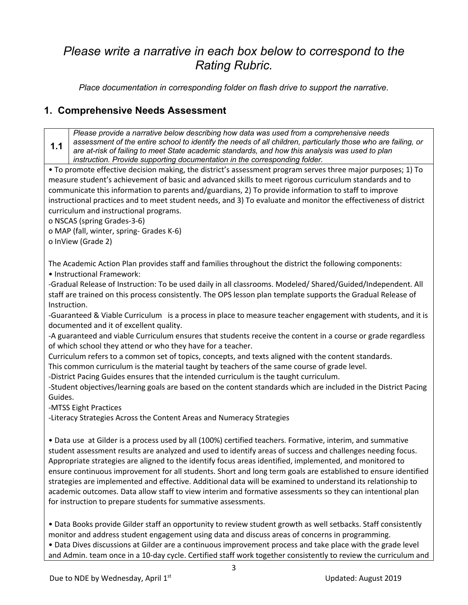## *Please write a narrative in each box below to correspond to the Rating Rubric.*

*Place documentation in corresponding folder on flash drive to support the narrative.*

#### **1. Comprehensive Needs Assessment**

**1.1** *Please provide a narrative below describing how data was used from a comprehensive needs assessment of the entire school to identify the needs of all children, particularly those who are failing, or are at-risk of failing to meet State academic standards, and how this analysis was used to plan instruction. Provide supporting documentation in the corresponding folder.*

• To promote effective decision making, the district's assessment program serves three major purposes; 1) To measure student's achievement of basic and advanced skills to meet rigorous curriculum standards and to communicate this information to parents and/guardians, 2) To provide information to staff to improve instructional practices and to meet student needs, and 3) To evaluate and monitor the effectiveness of district curriculum and instructional programs.

o NSCAS (spring Grades-3-6)

o MAP (fall, winter, spring- Grades K-6)

o InView (Grade 2)

The Academic Action Plan provides staff and families throughout the district the following components: • Instructional Framework:

-Gradual Release of Instruction: To be used daily in all classrooms. Modeled/ Shared/Guided/Independent. All staff are trained on this process consistently. The OPS lesson plan template supports the Gradual Release of Instruction.

-Guaranteed & Viable Curriculum is a process in place to measure teacher engagement with students, and it is documented and it of excellent quality.

-A guaranteed and viable Curriculum ensures that students receive the content in a course or grade regardless of which school they attend or who they have for a teacher.

Curriculum refers to a common set of topics, concepts, and texts aligned with the content standards.

This common curriculum is the material taught by teachers of the same course of grade level.

-District Pacing Guides ensures that the intended curriculum is the taught curriculum.

-Student objectives/learning goals are based on the content standards which are included in the District Pacing Guides.

-MTSS Eight Practices

-Literacy Strategies Across the Content Areas and Numeracy Strategies

• Data use at Gilder is a process used by all (100%) certified teachers. Formative, interim, and summative student assessment results are analyzed and used to identify areas of success and challenges needing focus. Appropriate strategies are aligned to the identify focus areas identified, implemented, and monitored to ensure continuous improvement for all students. Short and long term goals are established to ensure identified strategies are implemented and effective. Additional data will be examined to understand its relationship to academic outcomes. Data allow staff to view interim and formative assessments so they can intentional plan for instruction to prepare students for summative assessments.

• Data Books provide Gilder staff an opportunity to review student growth as well setbacks. Staff consistently monitor and address student engagement using data and discuss areas of concerns in programming. • Data Dives discussions at Gilder are a continuous improvement process and take place with the grade level

and Admin. team once in a 10-day cycle. Certified staff work together consistently to review the curriculum and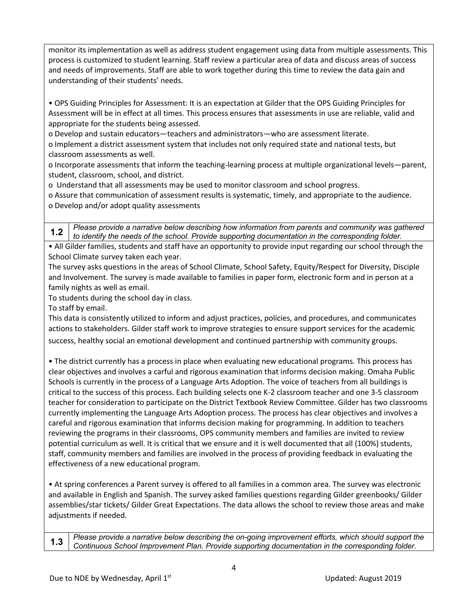monitor its implementation as well as address student engagement using data from multiple assessments. This process is customized to student learning. Staff review a particular area of data and discuss areas of success and needs of improvements. Staff are able to work together during this time to review the data gain and understanding of their students' needs.

• OPS Guiding Principles for Assessment: It is an expectation at Gilder that the OPS Guiding Principles for Assessment will be in effect at all times. This process ensures that assessments in use are reliable, valid and appropriate for the students being assessed.

o Develop and sustain educators—teachers and administrators—who are assessment literate.

o Implement a district assessment system that includes not only required state and national tests, but classroom assessments as well.

o Incorporate assessments that inform the teaching-learning process at multiple organizational levels—parent, student, classroom, school, and district.

o Understand that all assessments may be used to monitor classroom and school progress.

o Assure that communication of assessment results is systematic, timely, and appropriate to the audience. o Develop and/or adopt quality assessments

**1.2** *Please provide a narrative below describing how information from parents and community was gathered to identify the needs of the school. Provide supporting documentation in the corresponding folder.*

• All Gilder families, students and staff have an opportunity to provide input regarding our school through the School Climate survey taken each year.

The survey asks questions in the areas of School Climate, School Safety, Equity/Respect for Diversity, Disciple and Involvement. The survey is made available to families in paper form, electronic form and in person at a family nights as well as email.

To students during the school day in class.

To staff by email.

This data is consistently utilized to inform and adjust practices, policies, and procedures, and communicates actions to stakeholders. Gilder staff work to improve strategies to ensure support services for the academic success, healthy social an emotional development and continued partnership with community groups.

• The district currently has a process in place when evaluating new educational programs. This process has clear objectives and involves a carful and rigorous examination that informs decision making. Omaha Public Schools is currently in the process of a Language Arts Adoption. The voice of teachers from all buildings is critical to the success of this process. Each building selects one K-2 classroom teacher and one 3-5 classroom teacher for consideration to participate on the District Textbook Review Committee. Gilder has two classrooms currently implementing the Language Arts Adoption process. The process has clear objectives and involves a careful and rigorous examination that informs decision making for programming. In addition to teachers reviewing the programs in their classrooms, OPS community members and families are invited to review potential curriculum as well. It is critical that we ensure and it is well documented that all (100%) students, staff, community members and families are involved in the process of providing feedback in evaluating the effectiveness of a new educational program.

• At spring conferences a Parent survey is offered to all families in a common area. The survey was electronic and available in English and Spanish. The survey asked families questions regarding Gilder greenbooks/ Gilder assemblies/star tickets/ Gilder Great Expectations. The data allows the school to review those areas and make adjustments if needed.

**1.3** *Please provide a narrative below describing the on-going improvement efforts, which should support the Continuous School Improvement Plan. Provide supporting documentation in the corresponding folder.*

4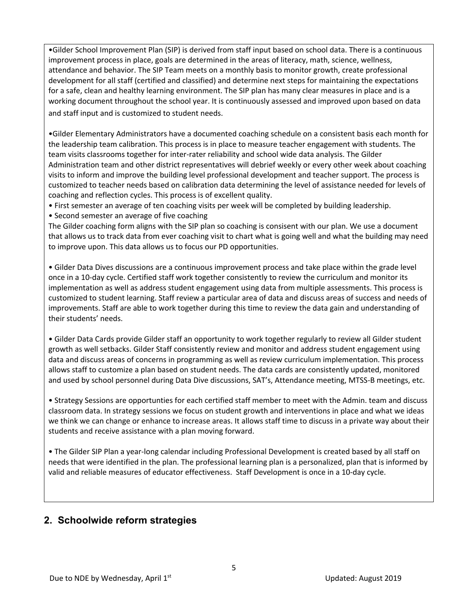•Gilder School Improvement Plan (SIP) is derived from staff input based on school data. There is a continuous improvement process in place, goals are determined in the areas of literacy, math, science, wellness, attendance and behavior. The SIP Team meets on a monthly basis to monitor growth, create professional development for all staff (certified and classified) and determine next steps for maintaining the expectations for a safe, clean and healthy learning environment. The SIP plan has many clear measures in place and is a working document throughout the school year. It is continuously assessed and improved upon based on data and staff input and is customized to student needs.

•Gilder Elementary Administrators have a documented coaching schedule on a consistent basis each month for the leadership team calibration. This process is in place to measure teacher engagement with students. The team visits classrooms together for inter-rater reliability and school wide data analysis. The Gilder Administration team and other district representatives will debrief weekly or every other week about coaching visits to inform and improve the building level professional development and teacher support. The process is customized to teacher needs based on calibration data determining the level of assistance needed for levels of coaching and reflection cycles. This process is of excellent quality.

• First semester an average of ten coaching visits per week will be completed by building leadership.

• Second semester an average of five coaching

The Gilder coaching form aligns with the SIP plan so coaching is consisent with our plan. We use a document that allows us to track data from ever coaching visit to chart what is going well and what the building may need to improve upon. This data allows us to focus our PD opportunities.

• Gilder Data Dives discussions are a continuous improvement process and take place within the grade level once in a 10-day cycle. Certified staff work together consistently to review the curriculum and monitor its implementation as well as address student engagement using data from multiple assessments. This process is customized to student learning. Staff review a particular area of data and discuss areas of success and needs of improvements. Staff are able to work together during this time to review the data gain and understanding of their students' needs.

• Gilder Data Cards provide Gilder staff an opportunity to work together regularly to review all Gilder student growth as well setbacks. Gilder Staff consistently review and monitor and address student engagement using data and discuss areas of concerns in programming as well as review curriculum implementation. This process allows staff to customize a plan based on student needs. The data cards are consistently updated, monitored and used by school personnel during Data Dive discussions, SAT's, Attendance meeting, MTSS-B meetings, etc.

• Strategy Sessions are opportunties for each certified staff member to meet with the Admin. team and discuss classroom data. In strategy sessions we focus on student growth and interventions in place and what we ideas we think we can change or enhance to increase areas. It allows staff time to discuss in a private way about their students and receive assistance with a plan moving forward.

• The Gilder SIP Plan a year-long calendar including Professional Development is created based by all staff on needs that were identified in the plan. The professional learning plan is a personalized, plan that is informed by valid and reliable measures of educator effectiveness. Staff Development is once in a 10-day cycle.

#### **2. Schoolwide reform strategies**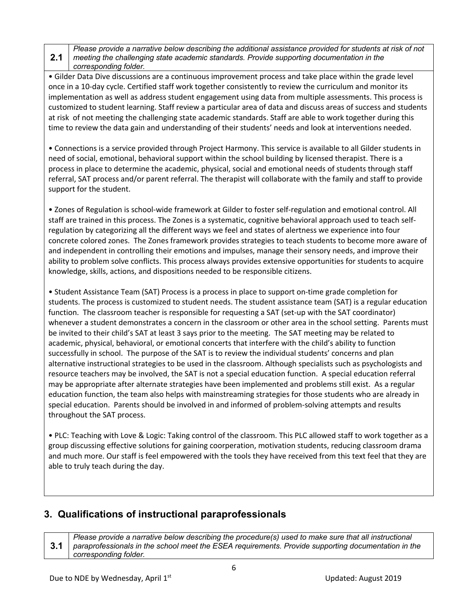#### **2.1** *Please provide a narrative below describing the additional assistance provided for students at risk of not meeting the challenging state academic standards. Provide supporting documentation in the corresponding folder.*

• Gilder Data Dive discussions are a continuous improvement process and take place within the grade level once in a 10-day cycle. Certified staff work together consistently to review the curriculum and monitor its implementation as well as address student engagement using data from multiple assessments. This process is customized to student learning. Staff review a particular area of data and discuss areas of success and students at risk of not meeting the challenging state academic standards. Staff are able to work together during this time to review the data gain and understanding of their students' needs and look at interventions needed.

• Connections is a service provided through Project Harmony. This service is available to all Gilder students in need of social, emotional, behavioral support within the school building by licensed therapist. There is a process in place to determine the academic, physical, social and emotional needs of students through staff referral, SAT process and/or parent referral. The therapist will collaborate with the family and staff to provide support for the student.

• Zones of Regulation is school-wide framework at Gilder to foster self-regulation and emotional control. All staff are trained in this process. The Zones is a systematic, cognitive behavioral approach used to teach selfregulation by categorizing all the different ways we feel and states of alertness we experience into four concrete colored zones. The Zones framework provides strategies to teach students to become more aware of and independent in controlling their emotions and impulses, manage their sensory needs, and improve their ability to problem solve conflicts. This process always provides extensive opportunities for students to acquire knowledge, skills, actions, and dispositions needed to be responsible citizens.

• Student Assistance Team (SAT) Process is a process in place to support on-time grade completion for students. The process is customized to student needs. The student assistance team (SAT) is a regular education function. The classroom teacher is responsible for requesting a SAT (set-up with the SAT coordinator) whenever a student demonstrates a concern in the classroom or other area in the school setting. Parents must be invited to their child's SAT at least 3 says prior to the meeting. The SAT meeting may be related to academic, physical, behavioral, or emotional concerts that interfere with the child's ability to function successfully in school. The purpose of the SAT is to review the individual students' concerns and plan alternative instructional strategies to be used in the classroom. Although specialists such as psychologists and resource teachers may be involved, the SAT is not a special education function. A special education referral may be appropriate after alternate strategies have been implemented and problems still exist. As a regular education function, the team also helps with mainstreaming strategies for those students who are already in special education. Parents should be involved in and informed of problem-solving attempts and results throughout the SAT process.

• PLC: Teaching with Love & Logic: Taking control of the classroom. This PLC allowed staff to work together as a group discussing effective solutions for gaining coorperation, motivation students, reducing classroom drama and much more. Our staff is feel empowered with the tools they have received from this text feel that they are able to truly teach during the day.

#### **3. Qualifications of instructional paraprofessionals**

**3.1** *Please provide a narrative below describing the procedure(s) used to make sure that all instructional paraprofessionals in the school meet the ESEA requirements. Provide supporting documentation in the corresponding folder.*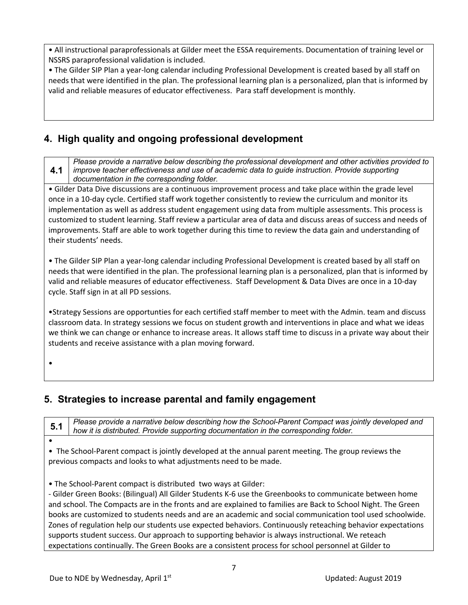• All instructional paraprofessionals at Gilder meet the ESSA requirements. Documentation of training level or NSSRS paraprofessional validation is included.

• The Gilder SIP Plan a year-long calendar including Professional Development is created based by all staff on needs that were identified in the plan. The professional learning plan is a personalized, plan that is informed by valid and reliable measures of educator effectiveness. Para staff development is monthly.

#### **4. High quality and ongoing professional development**

**4.1** *Please provide a narrative below describing the professional development and other activities provided to improve teacher effectiveness and use of academic data to guide instruction. Provide supporting documentation in the corresponding folder.*

• Gilder Data Dive discussions are a continuous improvement process and take place within the grade level once in a 10-day cycle. Certified staff work together consistently to review the curriculum and monitor its implementation as well as address student engagement using data from multiple assessments. This process is customized to student learning. Staff review a particular area of data and discuss areas of success and needs of improvements. Staff are able to work together during this time to review the data gain and understanding of their students' needs.

• The Gilder SIP Plan a year-long calendar including Professional Development is created based by all staff on needs that were identified in the plan. The professional learning plan is a personalized, plan that is informed by valid and reliable measures of educator effectiveness. Staff Development & Data Dives are once in a 10-day cycle. Staff sign in at all PD sessions.

•Strategy Sessions are opportunties for each certified staff member to meet with the Admin. team and discuss classroom data. In strategy sessions we focus on student growth and interventions in place and what we ideas we think we can change or enhance to increase areas. It allows staff time to discuss in a private way about their students and receive assistance with a plan moving forward.

•

#### **5. Strategies to increase parental and family engagement**

**5.1** *Please provide a narrative below describing how the School-Parent Compact was jointly developed and how it is distributed. Provide supporting documentation in the corresponding folder.*

•

• The School-Parent compact is jointly developed at the annual parent meeting. The group reviews the previous compacts and looks to what adjustments need to be made.

• The School-Parent compact is distributed two ways at Gilder:

- Gilder Green Books: (Bilingual) All Gilder Students K-6 use the Greenbooks to communicate between home and school. The Compacts are in the fronts and are explained to families are Back to School Night. The Green books are customized to students needs and are an academic and social communication tool used schoolwide. Zones of regulation help our students use expected behaviors. Continuously reteaching behavior expectations supports student success. Our approach to supporting behavior is always instructional. We reteach expectations continually. The Green Books are a consistent process for school personnel at Gilder to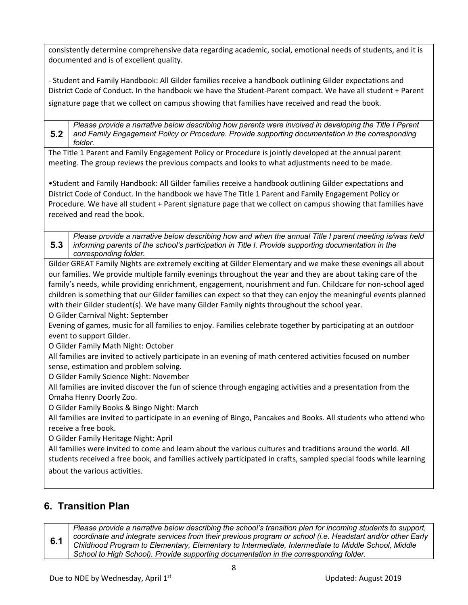consistently determine comprehensive data regarding academic, social, emotional needs of students, and it is documented and is of excellent quality.

- Student and Family Handbook: All Gilder families receive a handbook outlining Gilder expectations and District Code of Conduct. In the handbook we have the Student-Parent compact. We have all student + Parent signature page that we collect on campus showing that families have received and read the book.

**5.2** *Please provide a narrative below describing how parents were involved in developing the Title I Parent and Family Engagement Policy or Procedure. Provide supporting documentation in the corresponding folder.*

The Title 1 Parent and Family Engagement Policy or Procedure is jointly developed at the annual parent meeting. The group reviews the previous compacts and looks to what adjustments need to be made.

•Student and Family Handbook: All Gilder families receive a handbook outlining Gilder expectations and District Code of Conduct. In the handbook we have The Title 1 Parent and Family Engagement Policy or Procedure. We have all student + Parent signature page that we collect on campus showing that families have received and read the book.

**5.3** *Please provide a narrative below describing how and when the annual Title I parent meeting is/was held informing parents of the school's participation in Title I. Provide supporting documentation in the corresponding folder.*

Gilder GREAT Family Nights are extremely exciting at Gilder Elementary and we make these evenings all about our families. We provide multiple family evenings throughout the year and they are about taking care of the family's needs, while providing enrichment, engagement, nourishment and fun. Childcare for non-school aged children is something that our Gilder families can expect so that they can enjoy the meaningful events planned with their Gilder student(s). We have many Gilder Family nights throughout the school year.

O Gilder Carnival Night: September

Evening of games, music for all families to enjoy. Families celebrate together by participating at an outdoor event to support Gilder.

O Gilder Family Math Night: October

All families are invited to actively participate in an evening of math centered activities focused on number sense, estimation and problem solving.

O Gilder Family Science Night: November

All families are invited discover the fun of science through engaging activities and a presentation from the Omaha Henry Doorly Zoo.

O Gilder Family Books & Bingo Night: March

All families are invited to participate in an evening of Bingo, Pancakes and Books. All students who attend who receive a free book.

O Gilder Family Heritage Night: April

All families were invited to come and learn about the various cultures and traditions around the world. All students received a free book, and families actively participated in crafts, sampled special foods while learning

about the various activities.

### **6. Transition Plan**

**6.1** *Please provide a narrative below describing the school's transition plan for incoming students to support, coordinate and integrate services from their previous program or school (i.e. Headstart and/or other Early Childhood Program to Elementary, Elementary to Intermediate, Intermediate to Middle School, Middle School to High School). Provide supporting documentation in the corresponding folder.*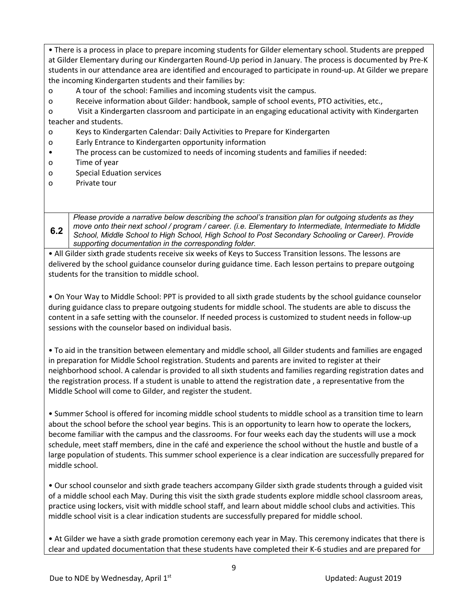• There is a process in place to prepare incoming students for Gilder elementary school. Students are prepped at Gilder Elementary during our Kindergarten Round-Up period in January. The process is documented by Pre-K students in our attendance area are identified and encouraged to participate in round-up. At Gilder we prepare the incoming Kindergarten students and their families by:

- o A tour of the school: Families and incoming students visit the campus.
- o Receive information about Gilder: handbook, sample of school events, PTO activities, etc.,
- o Visit a Kindergarten classroom and participate in an engaging educational activity with Kindergarten teacher and students.
- o Keys to Kindergarten Calendar: Daily Activities to Prepare for Kindergarten
- o Early Entrance to Kindergarten opportunity information
- The process can be customized to needs of incoming students and families if needed:
- o Time of year
- o Special Eduation services
- o Private tour

**6.2** *Please provide a narrative below describing the school's transition plan for outgoing students as they move onto their next school / program / career. (i.e. Elementary to Intermediate, Intermediate to Middle School, Middle School to High School, High School to Post Secondary Schooling or Career). Provide supporting documentation in the corresponding folder.*

• All Gilder sixth grade students receive six weeks of Keys to Success Transition lessons. The lessons are delivered by the school guidance counselor during guidance time. Each lesson pertains to prepare outgoing students for the transition to middle school.

• On Your Way to Middle School: PPT is provided to all sixth grade students by the school guidance counselor during guidance class to prepare outgoing students for middle school. The students are able to discuss the content in a safe setting with the counselor. If needed process is customized to student needs in follow-up sessions with the counselor based on individual basis.

• To aid in the transition between elementary and middle school, all Gilder students and families are engaged in preparation for Middle School registration. Students and parents are invited to register at their neighborhood school. A calendar is provided to all sixth students and families regarding registration dates and the registration process. If a student is unable to attend the registration date , a representative from the Middle School will come to Gilder, and register the student.

• Summer School is offered for incoming middle school students to middle school as a transition time to learn about the school before the school year begins. This is an opportunity to learn how to operate the lockers, become familiar with the campus and the classrooms. For four weeks each day the students will use a mock schedule, meet staff members, dine in the café and experience the school without the hustle and bustle of a large population of students. This summer school experience is a clear indication are successfully prepared for middle school.

• Our school counselor and sixth grade teachers accompany Gilder sixth grade students through a guided visit of a middle school each May. During this visit the sixth grade students explore middle school classroom areas, practice using lockers, visit with middle school staff, and learn about middle school clubs and activities. This middle school visit is a clear indication students are successfully prepared for middle school.

• At Gilder we have a sixth grade promotion ceremony each year in May. This ceremony indicates that there is clear and updated documentation that these students have completed their K-6 studies and are prepared for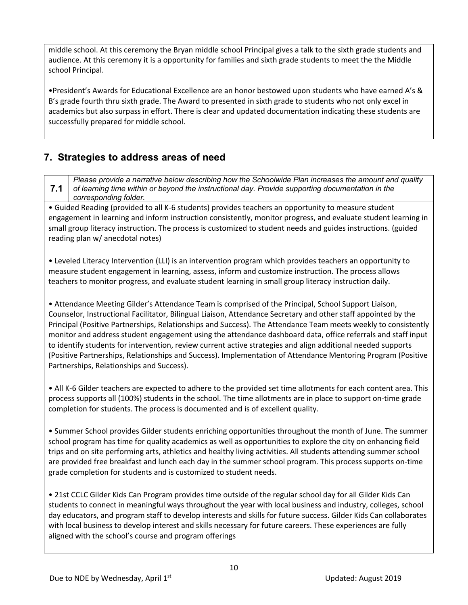middle school. At this ceremony the Bryan middle school Principal gives a talk to the sixth grade students and audience. At this ceremony it is a opportunity for families and sixth grade students to meet the the Middle school Principal.

•President's Awards for Educational Excellence are an honor bestowed upon students who have earned A's & B's grade fourth thru sixth grade. The Award to presented in sixth grade to students who not only excel in academics but also surpass in effort. There is clear and updated documentation indicating these students are successfully prepared for middle school.

#### **7. Strategies to address areas of need**

**7.1** *Please provide a narrative below describing how the Schoolwide Plan increases the amount and quality of learning time within or beyond the instructional day. Provide supporting documentation in the corresponding folder.*

• Guided Reading (provided to all K-6 students) provides teachers an opportunity to measure student engagement in learning and inform instruction consistently, monitor progress, and evaluate student learning in small group literacy instruction. The process is customized to student needs and guides instructions. (guided reading plan w/ anecdotal notes)

• Leveled Literacy Intervention (LLI) is an intervention program which provides teachers an opportunity to measure student engagement in learning, assess, inform and customize instruction. The process allows teachers to monitor progress, and evaluate student learning in small group literacy instruction daily.

• Attendance Meeting Gilder's Attendance Team is comprised of the Principal, School Support Liaison, Counselor, Instructional Facilitator, Bilingual Liaison, Attendance Secretary and other staff appointed by the Principal (Positive Partnerships, Relationships and Success). The Attendance Team meets weekly to consistently monitor and address student engagement using the attendance dashboard data, office referrals and staff input to identify students for intervention, review current active strategies and align additional needed supports (Positive Partnerships, Relationships and Success). Implementation of Attendance Mentoring Program (Positive Partnerships, Relationships and Success).

• All K-6 Gilder teachers are expected to adhere to the provided set time allotments for each content area. This process supports all (100%) students in the school. The time allotments are in place to support on-time grade completion for students. The process is documented and is of excellent quality.

• Summer School provides Gilder students enriching opportunities throughout the month of June. The summer school program has time for quality academics as well as opportunities to explore the city on enhancing field trips and on site performing arts, athletics and healthy living activities. All students attending summer school are provided free breakfast and lunch each day in the summer school program. This process supports on-time grade completion for students and is customized to student needs.

• 21st CCLC Gilder Kids Can Program provides time outside of the regular school day for all Gilder Kids Can students to connect in meaningful ways throughout the year with local business and industry, colleges, school day educators, and program staff to develop interests and skills for future success. Gilder Kids Can collaborates with local business to develop interest and skills necessary for future careers. These experiences are fully aligned with the school's course and program offerings